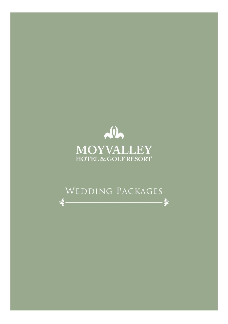

# WEDDING PACKAGES

 $\triangleleft$ 

 $\Rightarrow$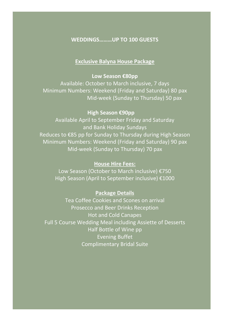# **WEDDINGS………UP TO 100 GUESTS**

### **Exclusive Balyna House Package**

### **Low Season €80pp**

Available: October to March inclusive, 7 days Minimum Numbers: Weekend (Friday and Saturday) 80 pax Mid-week (Sunday to Thursday) 50 pax

### **High Season €90pp**

Available April to September Friday and Saturday and Bank Holiday Sundays Reduces to €85 pp for Sunday to Thursday during High Season Minimum Numbers: Weekend (Friday and Saturday) 90 pax Mid-week (Sunday to Thursday) 70 pax

## **House Hire Fees:**

Low Season (October to March inclusive) €750 High Season (April to September inclusive) €1000

### **Package Details**

Tea Coffee Cookies and Scones on arrival Prosecco and Beer Drinks Reception Hot and Cold Canapes Full 5 Course Wedding Meal including Assiette of Desserts Half Bottle of Wine pp Evening Buffet Complimentary Bridal Suite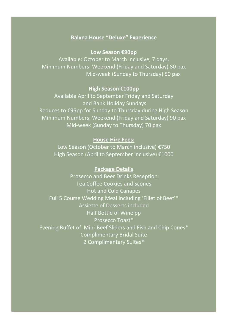# **Balyna House "Deluxe" Experience**

**Low Season €90pp**

Available: October to March inclusive, 7 days. Minimum Numbers: Weekend (Friday and Saturday) 80 pax Mid-week (Sunday to Thursday) 50 pax

### **High Season €100pp**

Available April to September Friday and Saturday and Bank Holiday Sundays Reduces to €95pp for Sunday to Thursday during High Season Minimum Numbers: Weekend (Friday and Saturday) 90 pax Mid-week (Sunday to Thursday) 70 pax

## **House Hire Fees:**

Low Season (October to March inclusive) €750 High Season (April to September inclusive) €1000

## **Package Details**

Prosecco and Beer Drinks Reception Tea Coffee Cookies and Scones Hot and Cold Canapes Full 5 Course Wedding Meal including 'Fillet of Beef'\* Assiette of Desserts included Half Bottle of Wine pp Prosecco Toast\* Evening Buffet of Mini-Beef Sliders and Fish and Chip Cones\* Complimentary Bridal Suite 2 Complimentary Suites\*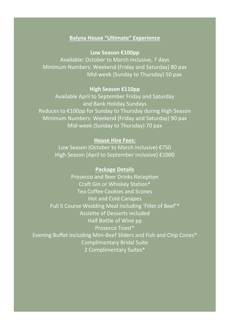# **Balyna House "Ultimate" Experience**

# **Low Season €100pp**

Available: October to March inclusive, 7 days Minimum Numbers: Weekend (Friday and Saturday) 80 pax Mid-week (Sunday to Thursday) 50 pax

### **High Season €110pp**

Available April to September Friday and Saturday and Bank Holiday Sundays Reduces to €100pp for Sunday to Thursday during High Season Minimum Numbers: Weekend (Friday and Saturday) 90 pax Mid-week (Sunday to Thursday) 70 pax

## **House Hire Fees:**

Low Season (October to March inclusive) €750 High Season (April to September inclusive) €1000

### **Package Details**

Prosecco and Beer Drinks Reception Craft Gin or Whiskey Station\* Tea Coffee Cookies and Scones Hot and Cold Canapes Full 5 Course Wedding Meal including 'Fillet of Beef'\* Assiette of Desserts included Half Bottle of Wine pp Prosecco Toast\* Evening Buffet including Mini-Beef Sliders and Fish and Chip Cones\* Complimentary Bridal Suite 2 Complimentary Suites\*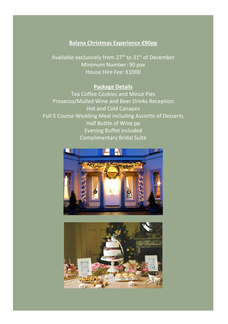# **Balyna Christmas Experience €90pp**

Available exclusively from 27<sup>th</sup> to 31<sup>st</sup> of December Minimum Number: 90 pax House Hire Fee: €1000

# **Package Details**

Tea Coffee Cookies and Mince Pies Prosecco/Mulled Wine and Beer Drinks Reception Hot and Cold Canapes Full 5 Course Wedding Meal including Assiette of Desserts Half Bottle of Wine pp Evening Buffet included Complimentary Bridal Suite



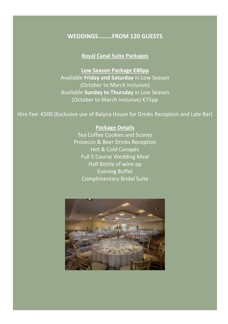# **WEDDINGS………FROM 120 GUESTS**

# **Royal Canal Suite Packages**

**Low Season Package €80pp** Available **Friday and Saturday** in Low Season (October to March inclusive) Available **Sunday to Thursday** in Low Season (October to March inclusive) €75pp

Hire Fee: €500 (Exclusive use of Balyna House for Drinks Reception and Late Bar)

# **Package Details** Tea Coffee Cookies and Scones Prosecco & Beer Drinks Reception Hot & Cold Canapés Full 5 Course Wedding Meal Half Bottle of wine pp Evening Buffet Complimentary Bridal Suite

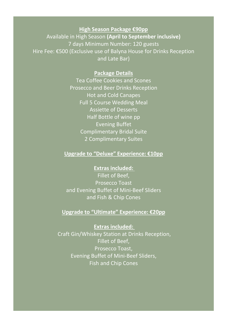# **High Season Package €90pp**

Available in High Season **(April to September inclusive)**  7 days Minimum Number: 120 guests Hire Fee: €500 (Exclusive use of Balyna House for Drinks Reception and Late Bar)

## **Package Details**

Tea Coffee Cookies and Scones Prosecco and Beer Drinks Reception Hot and Cold Canapes Full 5 Course Wedding Meal Assiette of Desserts Half Bottle of wine pp Evening Buffet Complimentary Bridal Suite 2 Complimentary Suites

# **Upgrade to "Deluxe" Experience: €10pp**

**Extras included:** 

Fillet of Beef, Prosecco Toast and Evening Buffet of Mini-Beef Sliders and Fish & Chip Cones

### **Upgrade to "Ultimate" Experience: €20pp**

**Extras included:**  Craft Gin/Whiskey Station at Drinks Reception, Fillet of Beef, Prosecco Toast, Evening Buffet of Mini-Beef Sliders, Fish and Chip Cones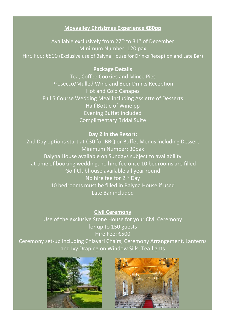# **Moyvalley Christmas Experience €80pp**

Available exclusively from  $27<sup>th</sup>$  to  $31<sup>st</sup>$  of December Minimum Number: 120 pax Hire Fee: €500 (Exclusive use of Balyna House for Drinks Reception and Late Bar)

# **Package Details**

Tea, Coffee Cookies and Mince Pies Prosecco/Mulled Wine and Beer Drinks Reception Hot and Cold Canapes Full 5 Course Wedding Meal including Assiette of Desserts Half Bottle of Wine pp Evening Buffet included Complimentary Bridal Suite

# **Day 2 in the Resort:**

2nd Day options start at €30 for BBQ or Buffet Menus including Dessert Minimum Number: 30pax Balyna House available on Sundays subject to availability at time of booking wedding, no hire fee once 10 bedrooms are filled Golf Clubhouse available all year round No hire fee for 2<sup>nd</sup> Day 10 bedrooms must be filled in Balyna House if used Late Bar included

# **Civil Ceremony**

Use of the exclusive Stone House for your Civil Ceremony for up to 150 guests Hire Fee: €500

Ceremony set-up including Chiavari Chairs, Ceremony Arrangement, Lanterns and Ivy Draping on Window Sills, Tea-lights



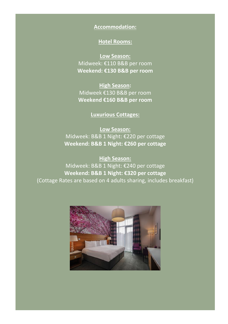# **Accommodation:**

# **Hotel Rooms:**

**Low Season:** Midweek: €110 B&B per room **Weekend: €130 B&B per room**

**High Season:** Midweek €130 B&B per room **Weekend €160 B&B per room**

# **Luxurious Cottages:**

**Low Season:** Midweek: B&B 1 Night: €220 per cottage **Weekend: B&B 1 Night: €260 per cottage**

**High Season:** Midweek: B&B 1 Night: €240 per cottage **Weekend: B&B 1 Night: €320 per cottage** (Cottage Rates are based on 4 adults sharing, includes breakfast)

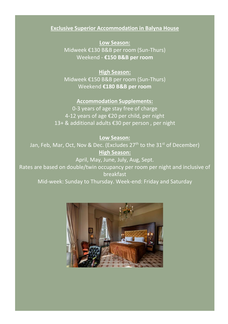# **Exclusive Superior Accommodation in Balyna House**

**Low Season:** Midweek €130 B&B per room (Sun-Thurs) Weekend - **€150 B&B per room**

**High Season:** Midweek €150 B&B per room (Sun-Thurs) Weekend **€180 B&B per room**

**Accommodation Supplements:** 0-3 years of age stay free of charge 4-12 years of age €20 per child, per night 13+ & additional adults €30 per person , per night

### **Low Season:**

Jan, Feb, Mar, Oct, Nov & Dec. (Excludes 27<sup>th</sup> to the 31<sup>st</sup> of December) **High Season:**

April, May, June, July, Aug, Sept. Rates are based on double/twin occupancy per room per night and inclusive of **breakfast** Mid-week: Sunday to Thursday. Week-end: Friday and Saturday

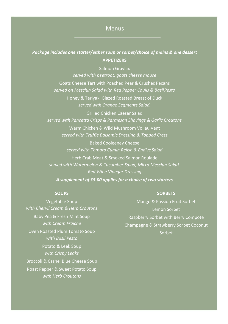# Menus

# *Package includes one starter/either soup or sorbet/choice of mains & one dessert* **APPETIZERS**

Salmon Gravlax *served with beetroot, goats cheese mouse* Goats Cheese Tart with Poached Pear & CrushedPecans *served on Mesclun Salad with Red Pepper Coulis & BasilPesto*

Honey & Teriyaki Glazed Roasted Breast of Duck *served with Orange Segments Salad,*

Grilled Chicken Caesar Salad *served with Pancetta Crisps & Parmesan Shavings & Garlic Croutons*

Warm Chicken & Wild Mushroom Vol au Vent *served with Truffle Balsamic Dressing & Topped Cress*

Baked Cooleeney Cheese *served with Tomato Cumin Relish & Endive Salad*

Herb Crab Meat & Smoked SalmonRoulade *served with Watermelon & Cucumber Salad, Micro Mesclun Salad, Red Wine Vinegar Dressing*

*A supplement of €5.00 applies for a choice of two starters*

#### **SOUPS**

Vegetable Soup *with Chervil Cream & Herb Croutons* Baby Pea & Fresh Mint Soup *with Cream Fraiche* Oven Roasted Plum Tomato Soup *with Basil Pesto* Potato & Leek Soup *with Crispy Leaks*  Broccoli & Cashel Blue Cheese Soup Roast Pepper & Sweet Potato Soup *with Herb Croutons*

#### **SORBETS**

Mango & Passion Fruit Sorbet Lemon Sorbet Raspberry Sorbet with Berry Compote Champagne & Strawberry Sorbet Coconut Sorbet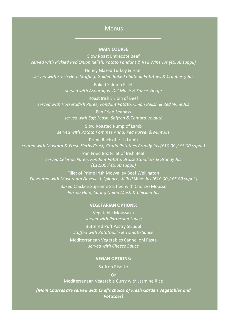# Menus

### **MAIN COURSE**

Slow Roast Entrecote Beef *served with Pickled Red Onion Relish, Potato Fondant & Red Wine Jus (€5.00 suppl.)*

Honey Glazed Turkey & Ham *served with Fresh Herb Stuffing, Golden Baked Chateau Potatoes & Cranberry Jus*

> Baked Salmon Fillet *served with Asparagus, Dill Mash & Sauce Vierge*

Roast Irish Sirloin of Beef *served with Horseradish Puree, Fondant Potato, Onion Relish & Red Wine Jus*

> Pan Fried Seabass *served with Soft Mash, Saffron & Tomato Velouté*

Slow Roasted Rump of Lamb *served with Potato Pommes Anna, Pea Puree, & Mint Jus*

Prime Rack of Irish Lamb *coated with Mustard & Fresh Herbs Crust, Gratin Potatoes Brandy Jus (€10.00 / €5.00 suppl.)*

> Pan Fried 8oz Fillet of Irish Beef *served Celeriac Puree, Fondant Potato, Braised Shallots & Brandy Jus (€12.00 / €5.00 suppl.)*

Fillet of Prime Irish Moyvalley Beef Wellington *Flavoured with Mushroom Duxelle & Spinach, & Red Wine Jus (€10.00 / €5.00 suppl.)*

> Baked Chicken Supreme Stuffed with Chorizo Mousse *Parma Ham, Spring Onion Mash & Chicken Jus*

#### **VEGETARIAN OPTIONS:**

Vegetable Moussaka *served with Parmesan Sauce* Buttered Puff Pastry Strudel *stuffed with Ratatouille & Tomato Sauce*

Mediterranean Vegetables Cannelloni Pasta *served with Cheese Sauce*

#### **VEGAN OPTIONS:**

Saffron Risotto

Or Mediterranean Vegetable Curry with Jasmine Rice

*(Main Courses are served with Chef's choice of Fresh Garden Vegetables and Potatoes)*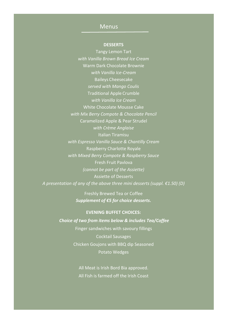# Menus

### **DESSERTS**

Tangy Lemon Tart *with Vanilla Brown Bread Ice Cream* Warm Dark Chocolate Brownie *with Vanilla Ice-Cream* Baileys Cheesecake *served with Mango Coulis*  Traditional Apple Crumble *with Vanilla Ice Cream* White Chocolate Mousse Cake *with Mix Berry Compote & Chocolate Pencil* Caramelized Apple & Pear Strudel *with Crème Anglaise* Italian Tiramisu *with Espresso Vanilla Sauce & Chantilly Cream* Raspberry Charlotte Royale *with Mixed Berry Compote & Raspberry Sauce* Fresh Fruit Pavlova *(cannot be part of the Assiette)* Assiette of Desserts *A presentation of any of the above three mini desserts (suppl. €1.50) (D)*

> Freshly Brewed Tea or Coffee *Supplement of €5 for choice desserts.*

**EVENING BUFFET CHOICES:** *Choice of two from items below & includes Tea/Coffee* Finger sandwiches with savoury fillings Cocktail Sausages Chicken Goujons with BBQ dip Seasoned Potato Wedges

> All Meat is Irish Bord Bia approved. All Fish is farmed off the Irish Coast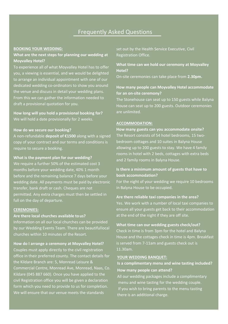# Frequently Asked Questions

#### **BOOKING YOUR WEDDING:**

### **What are the next steps for planning our wedding at Moyvalley Hotel?**

To experience all of what Moyvalley Hotel has to offer you, a viewing is essential, and we would be delighted to arrange an individual appointment with one of our dedicated wedding co-ordinators to show you around the venue and discuss in detail your wedding plans. From this we can gather the information needed to draft a provisional quotation for you.

**How long will you hold a provisional booking for?** We will hold a date provisionally for 2 weeks.

#### **How do we secure our booking?**

A non-refundable **deposit of €1500** along with a signed copy of your contract and our terms and conditions is require to secure a booking.

#### **What is the payment plan for our wedding?**

We require a further 50% of the estimated cost 3 months before your wedding date, 40% 1 month before and the remaining balance 7 days before your wedding date. All payments must be paid by electronic transfer, bank draft or cash. Cheques are not permitted. Any extra charges must then be settled in full on the day of departure.

#### **CEREMONIES:**

#### **Are there local churches available to us?**

Information on all our local churches can be provided by our Wedding Events Team. There are beautifullocal churches within 10 minutes of the Resort.

**How do I arrange a ceremony at Moyvalley Hotel?** 

Couples must apply directly to the civil registration office in their preferred county. The contact details for the Kildare Branch are: 5, Monread Leisure & Commercial Centre, Monread Ave, Monread, Naas, Co. Kildare (045 887 660). Once you have applied to the civil Registration office you will be given a declaration form which you need to provide to us for completion. We will ensure that our venue meets the standards

set out by the Health Service Executive, Civil Registration Office.

#### **What time can we hold our ceremony at Moyvalley Hotel?**

On-site ceremonies can take place from **2.30pm.**

### **How many people can Moyvalley Hotel accommodate for an on-site ceremony?**

The Stonehouse can seat up to 150 guests while Balyna House can seat up to 200 guests. Outdoor ceremonies are unlimited.

#### **ACCOMMODATION:**

**How many guests can you accommodate onsite?**  The Resort consists of 54 hotel bedrooms, 15 twobedroom cottages and 10 suites in Balyna House allowing up to 200 guests to stay. We have 4 family rooms in hotel with 2 beds, cottages with extra beds and 2 family rooms in Balyna House.

#### **Is there a minimum amount of guests that have to book accommodation?**

For the night of your wedding we require 10 bedrooms in Balyna House to be occupied.

#### **Are there reliable taxi companies in the area?**

Yes. We work with a number of local taxi companies to ensure all your guests get back to their accommodation at the end of the night if they are off site.

#### **What time can our wedding guests check/out?**

Check in time is from 3pm for the hotel and Balyna House and the cottages check in time is 4pm. Breakfast is served from 7-11am and guests check out is 11.30am.

#### **YOUR WEDDING BANQUET:**

### **Is a complimentary menu and wine tasting included? How many people can attend?**

All our wedding packages include a complimentary menu and wine tasting for the wedding couple. If you wish to bring parents to the menu tasting there is an additional charge.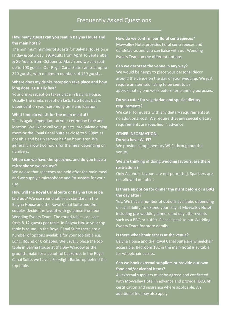# Frequently Asked Questions

### **How many guests can you seat in Balyna House and the main hotel?**

The minimum number of guests for Balyna House on a Friday & Saturday is90Adults from April to September & 80 Adults from October to March and we can seat up to 108 guests. Our Royal Canal Suite can seat up to 270 guests, with minimum numbers of 120 guests .

### **Where does my drinks reception take place and how long does it usually last?**

Your drinks reception takes place in Balyna House. Usually the drinks reception lasts two hours but is dependant on your ceremony time and location.

#### **What time do we sit for the main meal at?**

This is again dependant on your ceremony time and location. We like to call your guests into Balyna dining room or the Royal Canal Suite as close to 5.30pm as possible and begin service half an hour later. We generally allow two hours for the meal depending on numbers.

### **When can we have the speeches, and do you have a microphone we can use?**

We advise that speeches are held after the main meal and we supply a microphone and PA system for your

**How will the Royal Canal Suite or Balyna House be laid out?** We use round tables as standard in the Balyna House and the Royal Canal Suite and the couples decide the layout with guidance from our Wedding Events Team. The round tables can seat from 8-12 guests per table. In Balyna House your top number of options available for your top table e.g. Long, Round or U-Shaped. We usually place the top table in Balyna House at the Bay Window as the grounds make for a beautiful backdrop. In the Royal Canal Suite, we have a Fairylight Backdrop behind the top table.

**How do we confirm our floral centrepieces?**  Moyvalley Hotel provides floral centrepieces and Candelabras and you can liaise with our Wedding Events Team on the different options.

#### **Can we decorate the venue in any way?**

We would be happy to place your personal décor around the venue on the day of your wedding. We just require an itemised listing to be sent to us approximately one week before for planning purposes.

### **Do you cater for vegetarian and special dietary requirements?**

We cater for guests with any dietary requirements at no additional cost. We require that any special dietary requirements are specified in advance.

#### **OTHER INFORMATION:**

#### **Do you have Wi-Fi?**

We provide complimentary Wi-Fi throughout the

#### **We are thinking of doing wedding favours, are there restrictions?**

Only Alcoholic favours are not permitted. Sparklers are not allowed on tables.

### **Is there an option for dinner the night before or a BBQ the day after?**

Yes. We have a number of options available, depending on availability, to extend your stay at Moyvalley Hotel including pre-wedding dinners and day after events such as a BBQ or buffet. Please speak to our Wedding Events Team for more details.

### **Is there wheelchair access at the venue?**

Balyna House and the Royal Canal Suite are wheelchair accessible. Bedroom 102 in the main hotel is suitable for wheelchair access.

### **Can we book external suppliers or provide our own food and/or alcohol items?**

All external suppliers must be agreed and confirmed with Moyvalley Hotel in advance and provide HACCAP certification and insurance where applicable. An additional fee may also apply.